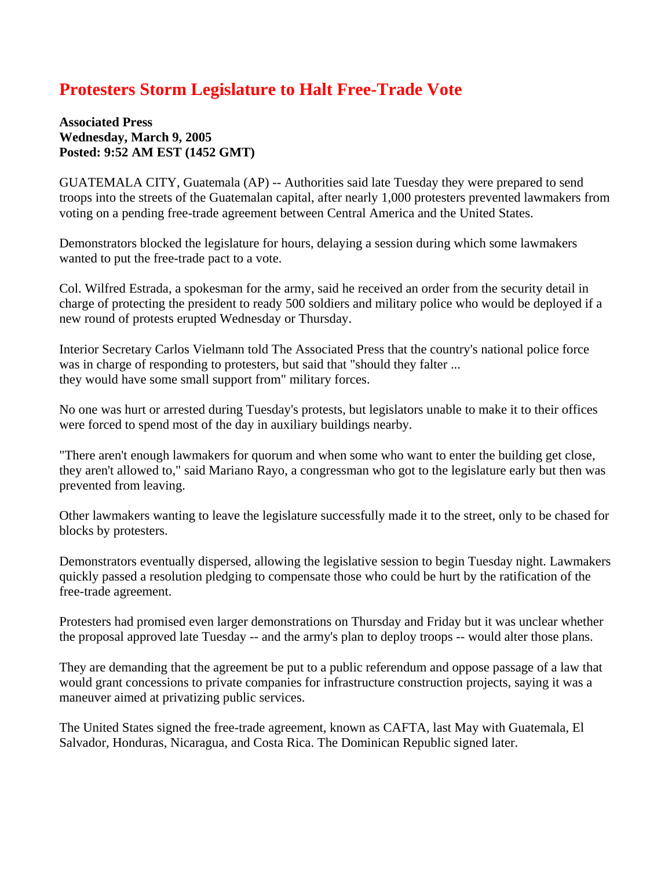## **Protesters Storm Legislature to Halt Free-Trade Vote**

**Associated Press Wednesday, March 9, 2005 Posted: 9:52 AM EST (1452 GMT)** 

GUATEMALA CITY, Guatemala (AP) -- Authorities said late Tuesday they were prepared to send troops into the streets of the Guatemalan capital, after nearly 1,000 protesters prevented lawmakers from voting on a pending free-trade agreement between Central America and the United States.

Demonstrators blocked the legislature for hours, delaying a session during which some lawmakers wanted to put the free-trade pact to a vote.

Col. Wilfred Estrada, a spokesman for the army, said he received an order from the security detail in charge of protecting the president to ready 500 soldiers and military police who would be deployed if a new round of protests erupted Wednesday or Thursday.

Interior Secretary Carlos Vielmann told The Associated Press that the country's national police force was in charge of responding to protesters, but said that "should they falter ... they would have some small support from" military forces.

No one was hurt or arrested during Tuesday's protests, but legislators unable to make it to their offices were forced to spend most of the day in auxiliary buildings nearby.

"There aren't enough lawmakers for quorum and when some who want to enter the building get close, they aren't allowed to," said Mariano Rayo, a congressman who got to the legislature early but then was prevented from leaving.

Other lawmakers wanting to leave the legislature successfully made it to the street, only to be chased for blocks by protesters.

Demonstrators eventually dispersed, allowing the legislative session to begin Tuesday night. Lawmakers quickly passed a resolution pledging to compensate those who could be hurt by the ratification of the free-trade agreement.

Protesters had promised even larger demonstrations on Thursday and Friday but it was unclear whether the proposal approved late Tuesday -- and the army's plan to deploy troops -- would alter those plans.

They are demanding that the agreement be put to a public referendum and oppose passage of a law that would grant concessions to private companies for infrastructure construction projects, saying it was a maneuver aimed at privatizing public services.

The United States signed the free-trade agreement, known as CAFTA, last May with Guatemala, El Salvador, Honduras, Nicaragua, and Costa Rica. The Dominican Republic signed later.